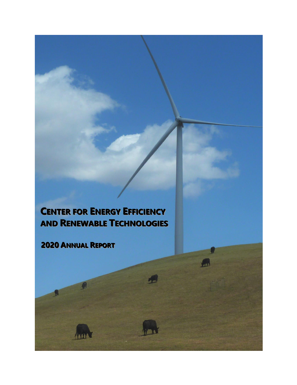# **CENTER FOR ENERGY EFFIICIIENCY AND RENEWABLE TECHNOLOGIIES**

**2020 ANNUAL REPORT** 

ANONA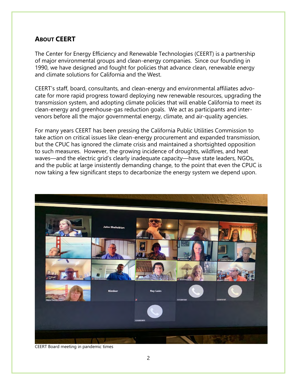# **ABOUT CEERT**

The Center for Energy Efficiency and Renewable Technologies (CEERT) is a partnership of major environmental groups and clean-energy companies. Since our founding in 1990, we have designed and fought for policies that advance clean, renewable energy and climate solutions for California and the West.

CEERT's staff, board, consultants, and clean-energy and environmental affiliates advocate for more rapid progress toward deploying new renewable resources, upgrading the transmission system, and adopting climate policies that will enable California to meet its clean-energy and greenhouse-gas reduction goals. We act as participants and intervenors before all the major governmental energy, climate, and air-quality agencies.

For many years CEERT has been pressing the California Public Utilities Commission to take action on critical issues like clean-energy procurement and expanded transmission, but the CPUC has ignored the climate crisis and maintained a shortsighted opposition to such measures. However, the growing incidence of droughts, wildfires, and heat waves—and the electric grid's clearly inadequate capacity—have state leaders, NGOs, and the public at large insistently demanding change, to the point that even the CPUC is now taking a few significant steps to decarbonize the energy system we depend upon.



CEERT Board meeting in pandemic times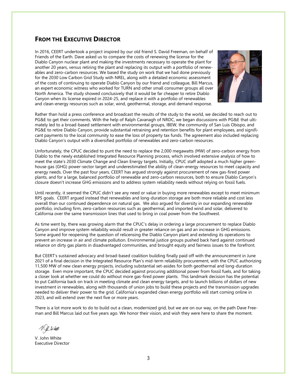### **FROM THE EXECUTIVE DIRECTOR**

In 2016, CEERT undertook a project inspired by our old friend S. David Freeman, on behalf of Friends of the Earth. Dave asked us to compare the costs of renewing the license for the Diablo Canyon nuclear plant and making the investments necessary to operate the plant for another 20 years, versus retiring the plant and replacing its output with a portfolio of renewables and zero-carbon resources. We based the study on work that we had done previously for the 2030 Low Carbon Grid Study with NREL, along with a detailed economic assessment of the costs of continuing to operate Diablo Canyon by our friend and colleague, Bill Marcus, an expert economic witness who worked for TURN and other small consumer groups all over North America. The study showed conclusively that it would be far cheaper to retire Diablo Canyon when its license expired in 2024-25, and replace it with a portfolio of renewables and clean-energy resources such as solar, wind, geothermal, storage, and demand response.



Rather than hold a press conference and broadcast the results of the study to the world, we decided to reach out to PG&E to get their comments. With the help of Ralph Cavanagh of NRDC, we began discussions with PG&E that ultimately led to a broad-based settlement with environmental groups, IBEW, the community of San Luis Obispo, and PG&E to retire Diablo Canyon, provide substantial retraining and retention benefits for plant employees, and significant payments to the local community to ease the loss of property tax funds. The agreement also included replacing Diablo Canyon's output with a diversified portfolio of renewables and zero-carbon resources.

Unfortunately, the CPUC decided to punt the need to replace the 2,000 megawatts (MW) of zero-carbon energy from Diablo to the newly established Integrated Resource Planning process, which involved extensive analysis of how to meet the state's 2030 Climate Change and Clean Energy targets. Initially, CPUC staff adopted a much higher greenhouse gas (GHG) power-sector target and underestimated the ability of clean-energy resources to meet capacity and energy needs. Over the past four years, CEERT has argued strongly against procurement of new gas-fired power plants, and for a large, balanced portfolio of renewable and zero-carbon resources, both to ensure Diablo Canyon's closure doesn't increase GHG emissions and to address system reliability needs without relying on fossil fuels.

Until recently, it seemed the CPUC didn't see any need or value in buying more renewables except to meet minimum RPS goals. CEERT argued instead that renewables and long-duration storage are both more reliable and cost less overall than our continued dependence on natural gas. We also argued for diversity in our expanding renewable portfolio, including firm, zero-carbon resources such as geothermal, and imported wind and solar, delivered to California over the same transmission lines that used to bring in coal power from the Southwest.

As time went by, there was growing alarm that the CPUC's delay in ordering a large procurement to replace Diablo Canyon and improve system reliability would result in greater reliance on gas and an increase in GHG emissions. Some argued for reopening the question of relicensing the Diablo Canyon plant and extending its operations to prevent an increase in air and climate pollution. Environmental justice groups pushed back hard against continued reliance on dirty gas plants in disadvantaged communities, and brought equity and fairness issues to the forefront.

But CEERT's sustained advocacy and broad-based coalition building finally paid off with the announcement in June 2021 of a final decision in the Integrated Resource Plan's mid-term reliability procurement, with the CPUC authorizing 11,500 MW of new clean energy projects, including substantial set-asides for both geothermal and long-duration storage. Even more important, the CPUC decided against procuring additional power from fossil fuels, and for taking a closer look at whether we could do without more gas-fired power plants. This landmark decision has the potential to put California back on track in meeting climate and clean energy targets, and to launch billions of dollars of new investment in renewables, along with thousands of union jobs to build these projects and the transmission upgrades needed to deliver their power to the grid. California's expanded clean energy portfolio will start coming online in 2023, and will extend over the next five or more years.

There is a lot more work to do to build out a clean, modernized grid, but we are on our way, on the path Dave Freeman and Bill Marcus laid out five years ago. We honor their vision, and wish they were here to share the moment.

V. John White Executive Director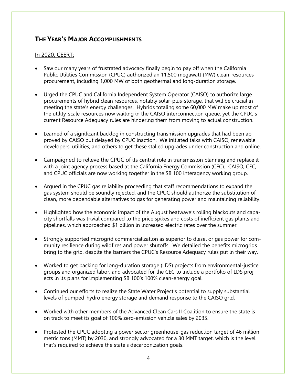# **THE YEAR'S MAJOR ACCOMPLISHMENTS**

- Saw our many years of frustrated advocacy finally begin to pay off when the California Public Utilities Commission (CPUC) authorized an 11,500 megawatt (MW) clean-resources procurement, including 1,000 MW of both geothermal and long-duration storage.
- Urged the CPUC and California Independent System Operator (CAISO) to authorize large procurements of hybrid clean resources, notably solar-plus-storage, that will be crucial in meeting the state's energy challenges. Hybrids totaling some 60,000 MW make up most of the utility-scale resources now waiting in the CAISO interconnection queue, yet the CPUC's current Resource Adequacy rules are hindering them from moving to actual construction.
- Learned of a significant backlog in constructing transmission upgrades that had been approved by CAISO but delayed by CPUC inaction. We initiated talks with CAISO, renewable developers, utilities, and others to get these stalled upgrades under construction and online.
- Campaigned to relieve the CPUC of its central role in transmission planning and replace it with a joint agency process based at the California Energy Commission (CEC). CAISO, CEC, and CPUC officials are now working together in the SB 100 interagency working group.
- Argued in the CPUC gas reliability proceeding that staff recommendations to expand the gas system should be soundly rejected, and the CPUC should authorize the substitution of clean, more dependable alternatives to gas for generating power and maintaining reliability.
- Highlighted how the economic impact of the August heatwave's rolling blackouts and capacity shortfalls was trivial compared to the price spikes and costs of inefficient gas plants and pipelines, which approached \$1 billion in increased electric rates over the summer.
- Strongly supported microgrid commercialization as superior to diesel or gas power for community resilience during wildfires and power shutoffs. We detailed the benefits microgrids bring to the grid, despite the barriers the CPUC's Resource Adequacy rules put in their way.
- Worked to get backing for long-duration storage (LDS) projects from environmental-justice groups and organized labor, and advocated for the CEC to include a portfolio of LDS projects in its plans for implementing SB 100's 100% clean-energy goal.
- Continued our efforts to realize the State Water Project's potential to supply substantial levels of pumped-hydro energy storage and demand response to the CAISO grid.
- Worked with other members of the Advanced Clean Cars II Coalition to ensure the state is on track to meet its goal of 100% zero-emission vehicle sales by 2035.
- Protested the CPUC adopting a power sector greenhouse-gas reduction target of 46 million metric tons (MMT) by 2030, and strongly advocated for a 30 MMT target, which is the level that's required to achieve the state's decarbonization goals.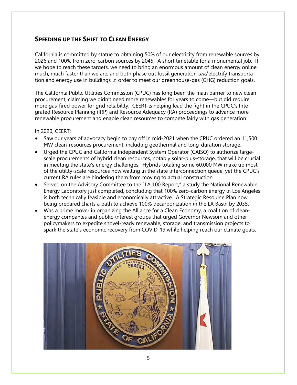# **SPEEDING UP THE SHIFT TO CLEAN ENERGY**

California is committed by statue to obtaining 50% of our electricity from renewable sources by 2026 and 100% from zero-carbon sources by 2045. A short timetable for a monumental job. If we hope to reach these targets, we need to bring an enormous amount of clean energy online much, much faster than we are, and both phase out fossil generation *and* electrify transportation and energy use in buildings in order to meet our greenhouse-gas (GHG) reduction goals.

The California Public Utilities Commission (CPUC) has long been the main barrier to new clean procurement, claiming we didn't need more renewables for years to come—but did require more gas-fired power for grid reliability. CEERT is helping lead the fight in the CPUC's Integrated Resource Planning (IRP) and Resource Adequacy (RA) proceedings to advance more renewable procurement and enable clean resources to compete fairly with gas generation.

- Saw our years of advocacy begin to pay off in mid-2021 when the CPUC ordered an 11,500 MW clean-resources procurement, including geothermal and long-duration storage.
- Urged the CPUC and California Independent System Operator (CAISO) to authorize largescale procurements of hybrid clean resources, notably solar-plus-storage, that will be crucial in meeting the state's energy challenges. Hybrids totaling some 60,000 MW make up most of the utility-scale resources now waiting in the state interconnection queue, yet the CPUC's current RA rules are hindering them from moving to actual construction.
- Served on the Advisory Committee to the "LA 100 Report," a study the National Renewable Energy Laboratory just completed, concluding that 100% zero-carbon energy in Los Angeles is both technically feasible and economically attractive. A Strategic Resource Plan now being prepared charts a path to achieve 100% decarbonization in the LA Basin by 2035.
- Was a prime mover in organizing the Alliance for a Clean Economy, a coalition of cleanenergy companies and public-interest groups that urged Governor Newsom and other policymakers to expedite shovel-ready renewable, storage, and transmission projects to spark the state's economic recovery from COVID-19 while helping reach our climate goals.

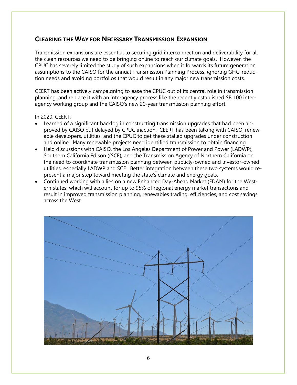# **CLEARING THE WAY FOR NECESSARY TRANSMISSION EXPANSION**

Transmission expansions are essential to securing grid interconnection and deliverability for all the clean resources we need to be bringing online to reach our climate goals. However, the CPUC has severely limited the study of such expansions when it forwards its future generation assumptions to the CAISO for the annual Transmission Planning Process, ignoring GHG-reduction needs and avoiding portfolios that would result in any major new transmission costs.

CEERT has been actively campaigning to ease the CPUC out of its central role in transmission planning, and replace it with an interagency process like the recently established SB 100 interagency working group and the CAISO's new 20-year transmission planning effort.

- Learned of a significant backlog in constructing transmission upgrades that had been approved by CAISO but delayed by CPUC inaction. CEERT has been talking with CAISO, renewable developers, utilities, and the CPUC to get these stalled upgrades under construction and online. Many renewable projects need identified transmission to obtain financing.
- Held discussions with CAISO, the Los Angeles Department of Power and Power (LADWP), Southern California Edison ((SCE), and the Transmission Agency of Northern California on the need to coordinate transmission planning between publicly-owned and investor-owned utilities, especially LADWP and SCE. Better integration between these two systems would represent a major step toward meeting the state's climate and energy goals.
- Continued working with allies on a new Enhanced Day-Ahead Market (EDAM) for the Western states, which will account for up to 95% of regional energy market transactions and result in improved transmission planning, renewables trading, efficiencies, and cost savings across the West.

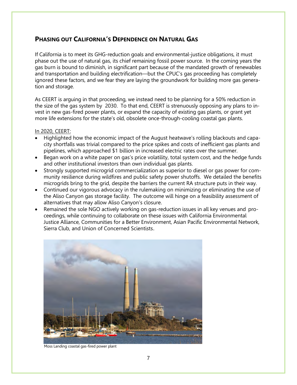# **PHASING OUT CALIFORNIA'S DEPENDENCE ON NATURAL GAS**

If California is to meet its GHG-reduction goals and environmental-justice obligations, it must phase out the use of natural gas, its chief remaining fossil power source. In the coming years the gas burn is bound to diminish, in significant part because of the mandated growth of renewables and transportation and building electrification—but the CPUC's gas proceeding has completely ignored these factors, and we fear they are laying the groundwork for building more gas generation and storage.

As CEERT is arguing in that proceeding, we instead need to be planning for a 50% reduction in the size of the gas system by 2030. To that end, CEERT is strenuously opposing any plans to invest in new gas-fired power plants, or expand the capacity of existing gas plants, or grant yet more life extensions for the state's old, obsolete once-through-cooling coastal gas plants.

- Highlighted how the economic impact of the August heatwave's rolling blackouts and capacity shortfalls was trivial compared to the price spikes and costs of inefficient gas plants and pipelines, which approached \$1 billion in increased electric rates over the summer.
- Began work on a white paper on gas's price volatility, total system cost, and the hedge funds and other institutional investors than own individual gas plants.
- Strongly supported microgrid commercialization as superior to diesel or gas power for community resilience during wildfires and public safety power shutoffs. We detailed the benefits microgrids bring to the grid, despite the barriers the current RA structure puts in their way.
- Continued our vigorous advocacy in the rulemaking on minimizing or eliminating the use of the Aliso Canyon gas storage facility. The outcome will hinge on a feasibility assessment of alternatives that may allow Aliso Canyon's closure.
- Remained the sole NGO actively working on gas-reduction issues in all key venues and proceedings, while continuing to collaborate on these issues with California Environmental Justice Alliance, Communities for a Better Environment, Asian Pacific Environmental Network, Sierra Club, and Union of Concerned Scientists.



Moss Landing coastal gas-fired power plant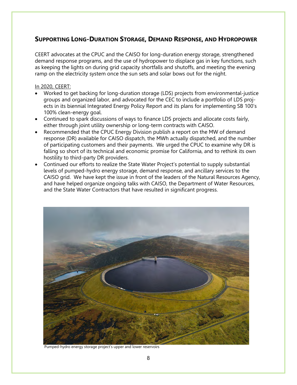# **SUPPORTING LONG-DURATION STORAGE, DEMAND RESPONSE, AND HYDROPOWER**

CEERT advocates at the CPUC and the CAISO for long-duration energy storage, strengthened demand response programs, and the use of hydropower to displace gas in key functions, such as keeping the lights on during grid capacity shortfalls and shutoffs, and meeting the evening ramp on the electricity system once the sun sets and solar bows out for the night.

- Worked to get backing for long-duration storage (LDS) projects from environmental-justice groups and organized labor, and advocated for the CEC to include a portfolio of LDS projects in its biennial Integrated Energy Policy Report and its plans for implementing SB 100's 100% clean-energy goal.
- Continued to spark discussions of ways to finance LDS projects and allocate costs fairly, either through joint utility ownership or long-term contracts with CAISO.
- Recommended that the CPUC Energy Division publish a report on the MW of demand response (DR) available for CAISO dispatch, the MWh actually dispatched, and the number of participating customers and their payments. We urged the CPUC to examine why DR is falling so short of its technical and economic promise for California, and to rethink its own hostility to third-party DR providers.
- Continued our efforts to realize the State Water Project's potential to supply substantial levels of pumped-hydro energy storage, demand response, and ancillary services to the CAISO grid. We have kept the issue in front of the leaders of the Natural Resources Agency, and have helped organize ongoing talks with CAISO, the Department of Water Resources, and the State Water Contractors that have resulted in significant progress.



Pumped-hydro energy storage project's upper and lower reservoirs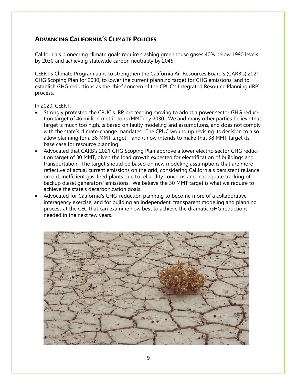# **ADVANCING CALIFORNIA'S CLIMATE POLICIES**

California's pioneering climate goals require slashing greenhouse gases 40% below 1990 levels by 2030 and achieving statewide carbon neutrality by 2045.

CEERT's Climate Program aims to strengthen the California Air Resources Board's (CARB's) 2021 GHG Scoping Plan for 2030, to lower the current planning target for GHG emissions, and to establish GHG reductions as the chief concern of the CPUC's Integrated Resource Planning (IRP) process.

- Strongly protested the CPUC's IRP proceeding moving to adopt a power sector GHG reduction target of 46 million metric tons (MMT) by 2030. We and many other parties believe that target is much too high, is based on faulty modeling and assumptions, and does not comply with the state's climate-change mandates. The CPUC wound up revising its decision to also allow planning for a 38 MMT target—and it now intends to make that 38 MMT target its base case for resource planning.
- Advocated that CARB's 2021 GHG Scoping Plan approve a lower electric-sector GHG reduction target of 30 MMT, given the load growth expected for electrification of buildings and transportation. The target should be based on new modeling assumptions that are more reflective of actual current emissions on the grid, considering California's persistent reliance on old, inefficient gas-fired plants due to reliability concerns and inadequate tracking of backup diesel generators' emissions. We believe the 30 MMT target is what we require to achieve the state's decarbonization goals.
- Advocated for California's GHG-reduction planning to become more of a collaborative, interagency exercise, and for building an independent, transparent modeling and planning process at the CEC that can examine how best to achieve the dramatic GHG reductions needed in the next few years.

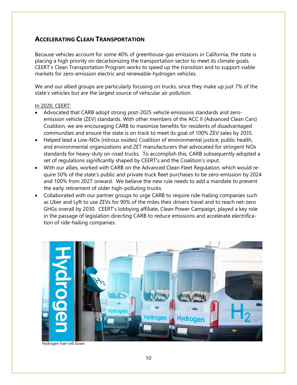# **ACCELERATING CLEAN TRANSPORTATION**

Because vehicles account for some 40% of greenhouse-gas emissions in California, the state is placing a high priority on decarbonizing the transportation sector to meet its climate goals. CEERT's Clean Transportation Program works to speed up the transition and to support viable markets for zero-emission electric and renewable-hydrogen vehicles.

We and our allied groups are particularly focusing on trucks, since they make up just 7% of the state's vehicles but are the largest source of vehicular air pollution.

- Advocated that CARB adopt strong post-2025 vehicle emissions standards and zeroemission vehicle (ZEV) standards. With other members of the ACC II (Advanced Clean Cars) Coalition, we are encouraging CARB to maximize benefits for residents of disadvantaged communities and ensure the state is on track to meet its goal of 100% ZEV sales by 2035.
- Helped lead a Low-NOx (nitrous oxides) Coalition of environmental justice, public health, and environmental organizations and ZET manufacturers that advocated for stringent NOx standards for heavy-duty on-road trucks. To accomplish this, CARB subsequently adopted a set of regulations significantly shaped by CEERT's and the Coalition's input.
- With our allies, worked with CARB on the Advanced Clean Fleet Regulation, which would require 50% of the state's public and private truck fleet purchases to be zero-emission by 2024 and 100% from 2027 onward. We believe the new rule needs to add a mandate to prevent the early retirement of older high-polluting trucks.
- Collaborated with our partner groups to urge CARB to require ride-hailing companies such as Uber and Lyft to use ZEVs for 90% of the miles their drivers travel and to reach net-zero GHGs overall by 2030. CEERT's lobbying affiliate, Clean Power Campaign, played a key role in the passage of legislation directing CARB to reduce emissions and accelerate electrification of ride-hailing companies.



Hydrogen fuel-cell buses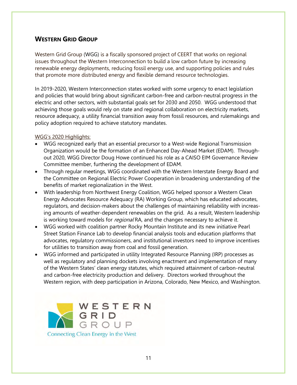# **WESTERN GRID GROUP**

Western Grid Group (WGG) is a fiscally sponsored project of CEERT that works on regional issues throughout the Western Interconnection to build a low carbon future by increasing renewable energy deployments, reducing fossil energy use, and supporting policies and rules that promote more distributed energy and flexible demand resource technologies.

In 2019-2020, Western Interconnection states worked with some urgency to enact legislation and policies that would bring about significant carbon-free and carbon-neutral progress in the electric and other sectors, with substantial goals set for 2030 and 2050. WGG understood that achieving those goals would rely on state and regional collaboration on electricity markets, resource adequacy, a utility financial transition away from fossil resources, and rulemakings and policy adoption required to achieve statutory mandates.

### WGG's 2020 Highlights:

- WGG recognized early that an essential precursor to a West-wide Regional Transmission Organization would be the formation of an Enhanced Day-Ahead Market (EDAM). Throughout 2020, WGG Director Doug Howe continued his role as a CAISO EIM Governance Review Committee member, furthering the development of EDAM.
- Through regular meetings, WGG coordinated with the Western Interstate Energy Board and the Committee on Regional Electric Power Cooperation in broadening understanding of the benefits of market regionalization in the West.
- With leadership from Northwest Energy Coalition, WGG helped sponsor a Western Clean Energy Advocates Resource Adequacy (RA) Working Group, which has educated advocates, regulators, and decision-makers about the challenges of maintaining reliability with increasing amounts of weather-dependent renewables on the grid. As a result, Western leadership is working toward models for *regional* RA, and the changes necessary to achieve it.
- WGG worked with coalition partner Rocky Mountain Institute and its new initiative Pearl Street Station Finance Lab to develop financial analysis tools and education platforms that advocates, regulatory commissioners, and institutional investors need to improve incentives for utilities to transition away from coal and fossil generation.
- WGG informed and participated in utility Integrated Resource Planning (IRP) processes as well as regulatory and planning dockets involving enactment and implementation of many of the Western States' clean energy statutes, which required attainment of carbon-neutral and carbon-free electricity production and delivery. Directors worked throughout the Western region, with deep participation in Arizona, Colorado, New Mexico, and Washington.

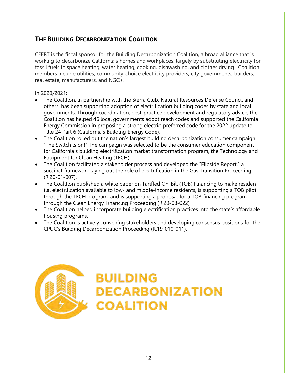# **THE BUILDING DECARBONIZATION COALITION**

CEERT is the fiscal sponsor for the Building Decarbonization Coalition, a broad alliance that is working to decarbonize California's homes and workplaces, largely by substituting electricity for fossil fuels in space heating, water heating, cooking, dishwashing, and clothes drying. Coalition members include utilities, community-choice electricity providers, city governments, builders, real estate, manufacturers, and NGOs.

#### In 2020/2021:

- The Coalition, in partnership with the Sierra Club, Natural Resources Defense Council and others, has been supporting adoption of electrification building codes by state and local governments. Through coordination, best-practice development and regulatory advice, the Coalition has helped 46 local governments adopt reach codes and supported the California Energy Commission in proposing a strong electric-preferred code for the 2022 update to Title 24 Part 6 (California's Building Energy Code).
- The Coalition rolled out the nation's largest building decarbonization consumer campaign: "The Switch is on!" The campaign was selected to be the consumer education component for California's building electrification market transformation program, the Technology and Equipment for Clean Heating (TECH).
- The Coalition facilitated a stakeholder process and developed the "Flipside Report," a succinct framework laying out the role of electrification in the Gas Transition Proceeding (R.20-01-007).
- The Coalition published a white paper on Tariffed On-Bill (TOB) Financing to make residential electrification available to low- and middle-income residents, is supporting a TOB pilot through the TECH program, and is supporting a proposal for a TOB financing program through the Clean Energy Financing Proceeding (R.20-08-022).
- The Coalition helped incorporate building electrification practices into the state's affordable housing programs.
- The Coalition is actively convening stakeholders and developing consensus positions for the CPUC's Building Decarbonization Proceeding (R.19-010-011).

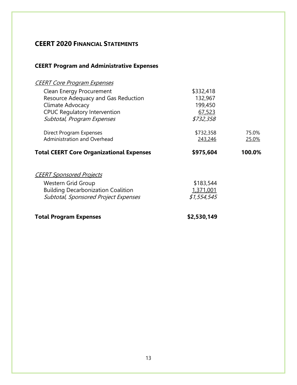# **CEERT 2020 FINANCIAL STATEMENTS**

# **CEERT Program and Administrative Expenses**

| <b>CEERT Core Program Expenses</b>              |             |        |
|-------------------------------------------------|-------------|--------|
| <b>Clean Energy Procurement</b>                 | \$332,418   |        |
| Resource Adequacy and Gas Reduction             | 132,967     |        |
| Climate Advocacy                                | 199,450     |        |
| <b>CPUC Regulatory Intervention</b>             | 67,523      |        |
| Subtotal, Program Expenses                      | \$732,358   |        |
| Direct Program Expenses                         | \$732,358   | 75.0%  |
| Administration and Overhead                     | 243,246     | 25.0%  |
| <b>Total CEERT Core Organizational Expenses</b> | \$975,604   | 100.0% |
| <b>CEERT Sponsored Projects</b>                 |             |        |
| Western Grid Group                              | \$183,544   |        |
| <b>Building Decarbonization Coalition</b>       | 1,371,001   |        |
| Subtotal, Sponsored Project Expenses            | \$1,554,545 |        |
| <b>Total Program Expenses</b>                   | \$2,530,149 |        |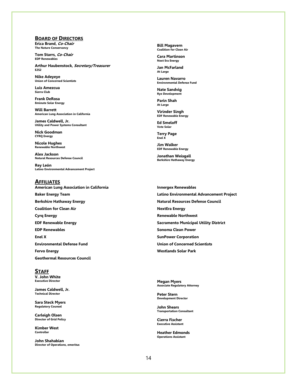#### **BOARD OF DIRECTORS**

**Erica Brand, Co-Chair The Nature Conservancy**

**Tom Starrs, Co-Chair EDP Renewables**

**Arthur Haubenstock, Secretary/Treasurer E2S2**

**Nike Adeyeye Union of Concerned Scientists**

**Luis Amezcua Sierra Club**

**Frank DeRosa 8minute Solar Energy**

**Will Barrett American Lung Association in California**

**James Caldwell, Jr. Utility and Power Systems Consultant**

**Nick Goodman CYRQ Energy**

**Nicole Hughes Renewable Northwest**

**Alex Jackson Natural Resources Defense Council**

**Rey León Latino Environmental Advancement Project**

#### **AFFILIATES American Lung Association in California**

**Baker Energy Team Berkshire Hathaway Energy Coalition for Clean Air Cyrq Energy EDF Renewable Energy EDP Renewables Enel X Environmental Defense Fund** 

**Geothermal Resources Council**

#### **STAFF**

**V. John White Executive Director**

**Fervo Energy**

**James Caldwell, Jr. Technical Director**

**Sara Steck Myers Regulatory Counsel**

**Carleigh Olsen Director of Grid Policy**

**Kimber West Controller** 

**John Shahabian Director of Operations, emeritus** **Bill Magavern Coalition for Clean Air**

**Cara Martinson Next Era Energy**

**Jan McFarland At Large** 

**Lauren Navarro Environmental Defense Fund**

**Nate Sandvig Rye Development**

**Parin Shah At Large**

**Virinder Singh EDF Renewable Energy**

**Ed Smeloff Vote Solar**

**Terry Page Enel X**

**Jim Walker EDF Renewable Energy**

**Jonathan Weisgall Berkshire Hathaway Energy** 

**Innergex Renewables Latino Environmental Advancement Project Natural Resources Defense Council NextEra Energy Renewable Northwest Sacramento Municipal Utility District Sonoma Clean Power SunPower Corporation Union of Concerned Scientists Westlands Solar Park**

**Megan Myers Associate Regulatory Attorney**

**Peter Stern Development Director**

**John Shears Transportation Consultant**

**Cierra Fischer Executive Assistant** 

**Heather Edmonds Operations Assistant**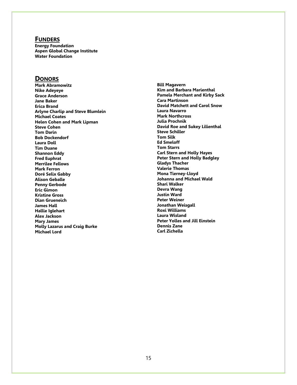#### **FUNDERS**

**Energy Foundation Aspen Global Change Institute Water Foundation**

#### **DONORS**

**Mark Abramowitz Nike Adeyeye Grace Anderson Jane Baker Erica Brand Arlyne Charlip and Steve Blumlein Michael Coates Helen Cohen and Mark Lipman Steve Cohen Tom Darin Bob Dockendorf Laura Doll Tim Duane Shannon Eddy Fred Euphrat Merrilee Fellows Mark Ferron Doré Selix Gabby Alison Geballe Penny Gerbode Eric Gimon Kristine Gross Dian Grueneich James Hall Hallie Iglehart Alex Jackson Mary James Molly Lazarus and Craig Burke Michael Lord**

**Bill Magavern Kim and Barbara Marienthal Pamela Merchant and Kirby Sack Cara Martinson David Matchett and Carol Snow Laura Navarro Mark Northcross Julia Prochnik David Roe and Sukey Lilienthal Steve Schiller Tom Silk Ed Smeloff Tom Starrs Carl Stern and Holly Hayes Peter Stern and Holly Badgley Gladys Thacher Valerie Thomas Mona Tierney-Lloyd Johanna and Michael Wald Shari Walker Devra Wang Justin Ward Peter Weiner Jonathan Weisgall Roxi Williams Laura Wisland Peter Yolles and Jill Einstein Dennis Zane Carl Zichella**